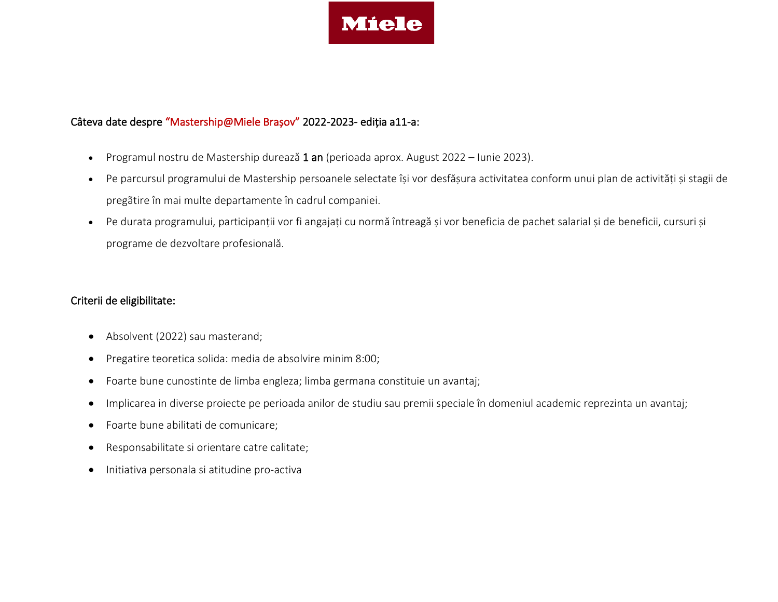

### Câteva date despre "Mastership@Miele Brașov" 2022-2023- ediția a11-a:

- Programul nostru de Mastership durează 1 an (perioada aprox. August 2022 Iunie 2023).
- Pe parcursul programului de Mastership persoanele selectate își vor desfășura activitatea conform unui plan de activități și stagii de pregãtire în mai multe departamente în cadrul companiei.
- Pe durata programului, participanții vor fi angajați cu normă întreagă și vor beneficia de pachet salarial și de beneficii, cursuri și programe de dezvoltare profesională.

#### Criterii de eligibilitate:

- Absolvent (2022) sau masterand;
- Pregatire teoretica solida: media de absolvire minim 8:00;
- Foarte bune cunostinte de limba engleza; limba germana constituie un avantaj;
- Implicarea in diverse proiecte pe perioada anilor de studiu sau premii speciale în domeniul academic reprezinta un avantaj;
- Foarte bune abilitati de comunicare;
- Responsabilitate si orientare catre calitate;
- Initiativa personala si atitudine pro-activa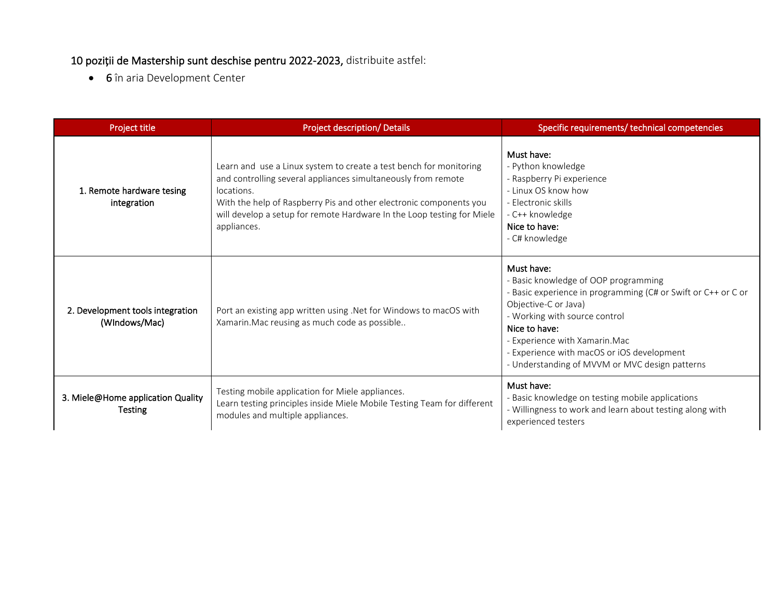## 10 poziții de Mastership sunt deschise pentru 2022-2023, distribuite astfel:

• 6 în aria Development Center

| Project title                                     | <b>Project description/ Details</b>                                                                                                                                                                                                                                                                              | Specific requirements/ technical competencies                                                                                                                                                                                                                                                                                   |
|---------------------------------------------------|------------------------------------------------------------------------------------------------------------------------------------------------------------------------------------------------------------------------------------------------------------------------------------------------------------------|---------------------------------------------------------------------------------------------------------------------------------------------------------------------------------------------------------------------------------------------------------------------------------------------------------------------------------|
| 1. Remote hardware tesing<br>integration          | Learn and use a Linux system to create a test bench for monitoring<br>and controlling several appliances simultaneously from remote<br>locations.<br>With the help of Raspberry Pis and other electronic components you<br>will develop a setup for remote Hardware In the Loop testing for Miele<br>appliances. | Must have:<br>- Python knowledge<br>- Raspberry Pi experience<br>- Linux OS know how<br>- Electronic skills<br>- C++ knowledge<br>Nice to have:<br>- C# knowledge                                                                                                                                                               |
| 2. Development tools integration<br>(WIndows/Mac) | Port an existing app written using .Net for Windows to macOS with<br>Xamarin. Mac reusing as much code as possible                                                                                                                                                                                               | Must have:<br>- Basic knowledge of OOP programming<br>- Basic experience in programming (C# or Swift or C++ or C or<br>Objective-C or Java)<br>- Working with source control<br>Nice to have:<br>- Experience with Xamarin. Mac<br>- Experience with macOS or iOS development<br>- Understanding of MVVM or MVC design patterns |
| 3. Miele@Home application Quality<br>Testing      | Testing mobile application for Miele appliances.<br>Learn testing principles inside Miele Mobile Testing Team for different<br>modules and multiple appliances.                                                                                                                                                  | Must have:<br>- Basic knowledge on testing mobile applications<br>- Willingness to work and learn about testing along with<br>experienced testers                                                                                                                                                                               |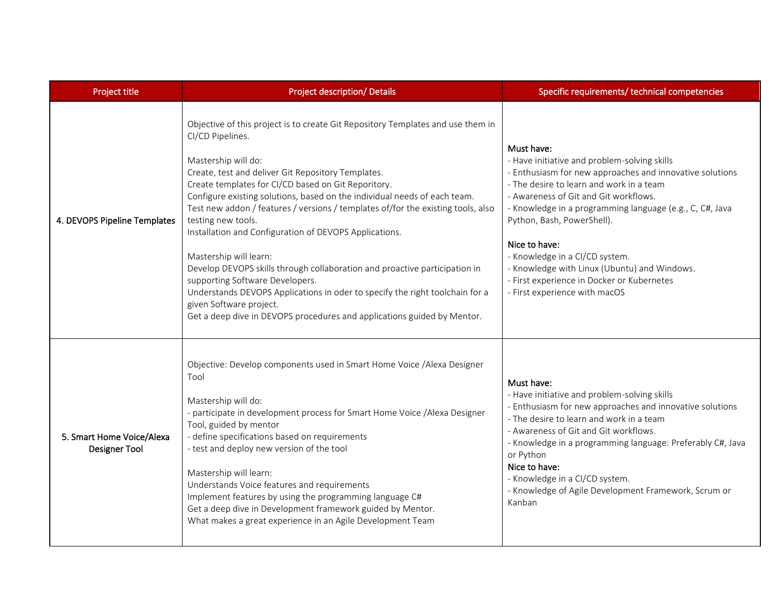| Project title                                     | <b>Project description/ Details</b>                                                                                                                                                                                                                                                                                                                                                                                                                                                                                                                                                                                                                                                                                                                                                                                       | Specific requirements/ technical competencies                                                                                                                                                                                                                                                                                                                                                                                                                                           |
|---------------------------------------------------|---------------------------------------------------------------------------------------------------------------------------------------------------------------------------------------------------------------------------------------------------------------------------------------------------------------------------------------------------------------------------------------------------------------------------------------------------------------------------------------------------------------------------------------------------------------------------------------------------------------------------------------------------------------------------------------------------------------------------------------------------------------------------------------------------------------------------|-----------------------------------------------------------------------------------------------------------------------------------------------------------------------------------------------------------------------------------------------------------------------------------------------------------------------------------------------------------------------------------------------------------------------------------------------------------------------------------------|
| 4. DEVOPS Pipeline Templates                      | Objective of this project is to create Git Repository Templates and use them in<br>CI/CD Pipelines.<br>Mastership will do:<br>Create, test and deliver Git Repository Templates.<br>Create templates for CI/CD based on Git Reporitory.<br>Configure existing solutions, based on the individual needs of each team.<br>Test new addon / features / versions / templates of/for the existing tools, also<br>testing new tools.<br>Installation and Configuration of DEVOPS Applications.<br>Mastership will learn:<br>Develop DEVOPS skills through collaboration and proactive participation in<br>supporting Software Developers.<br>Understands DEVOPS Applications in oder to specify the right toolchain for a<br>given Software project.<br>Get a deep dive in DEVOPS procedures and applications guided by Mentor. | Must have:<br>- Have initiative and problem-solving skills<br>- Enthusiasm for new approaches and innovative solutions<br>- The desire to learn and work in a team<br>- Awareness of Git and Git workflows.<br>- Knowledge in a programming language (e.g., C, C#, Java<br>Python, Bash, PowerShell).<br>Nice to have:<br>- Knowledge in a CI/CD system.<br>- Knowledge with Linux (Ubuntu) and Windows.<br>- First experience in Docker or Kubernetes<br>- First experience with macOS |
| 5. Smart Home Voice/Alexa<br><b>Designer Tool</b> | Objective: Develop components used in Smart Home Voice / Alexa Designer<br>Tool<br>Mastership will do:<br>- participate in development process for Smart Home Voice / Alexa Designer<br>Tool, guided by mentor<br>- define specifications based on requirements<br>- test and deploy new version of the tool<br>Mastership will learn:<br>Understands Voice features and requirements<br>Implement features by using the programming language C#<br>Get a deep dive in Development framework guided by Mentor.<br>What makes a great experience in an Agile Development Team                                                                                                                                                                                                                                              | Must have:<br>- Have initiative and problem-solving skills<br>- Enthusiasm for new approaches and innovative solutions<br>- The desire to learn and work in a team<br>- Awareness of Git and Git workflows.<br>- Knowledge in a programming language: Preferably C#, Java<br>or Python<br>Nice to have:<br>- Knowledge in a CI/CD system.<br>- Knowledge of Agile Development Framework, Scrum or<br>Kanban                                                                             |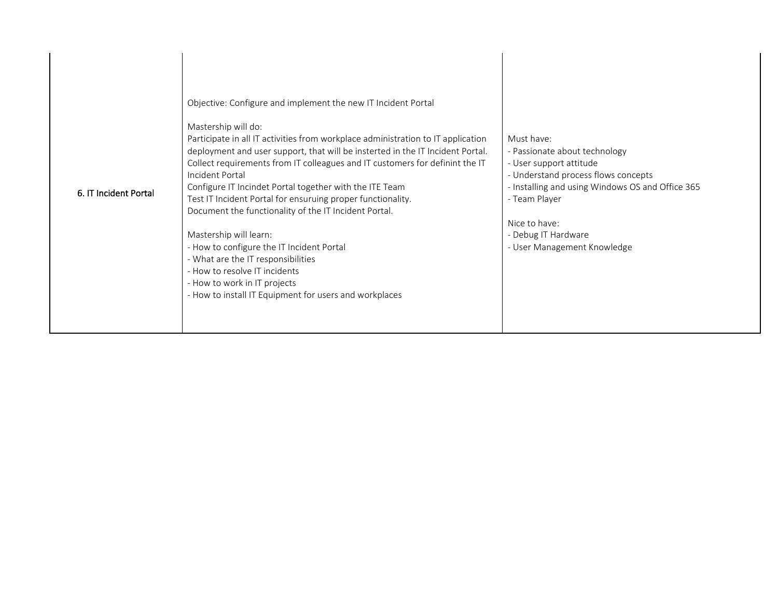| 6. IT Incident Portal | Objective: Configure and implement the new IT Incident Portal<br>Mastership will do:<br>Participate in all IT activities from workplace administration to IT application<br>deployment and user support, that will be insterted in the IT Incident Portal.<br>Collect requirements from IT colleagues and IT customers for definint the IT<br>Incident Portal<br>Configure IT Incindet Portal together with the ITE Team<br>Test IT Incident Portal for ensuruing proper functionality.<br>Document the functionality of the IT Incident Portal.<br>Mastership will learn:<br>- How to configure the IT Incident Portal<br>- What are the IT responsibilities<br>- How to resolve IT incidents<br>- How to work in IT projects<br>- How to install IT Equipment for users and workplaces | Must have:<br>- Passionate about technology<br>- User support attitude<br>- Understand process flows concepts<br>- Installing and using Windows OS and Office 365<br>- Team Player<br>Nice to have:<br>- Debug IT Hardware<br>- User Management Knowledge |
|-----------------------|------------------------------------------------------------------------------------------------------------------------------------------------------------------------------------------------------------------------------------------------------------------------------------------------------------------------------------------------------------------------------------------------------------------------------------------------------------------------------------------------------------------------------------------------------------------------------------------------------------------------------------------------------------------------------------------------------------------------------------------------------------------------------------------|-----------------------------------------------------------------------------------------------------------------------------------------------------------------------------------------------------------------------------------------------------------|
|-----------------------|------------------------------------------------------------------------------------------------------------------------------------------------------------------------------------------------------------------------------------------------------------------------------------------------------------------------------------------------------------------------------------------------------------------------------------------------------------------------------------------------------------------------------------------------------------------------------------------------------------------------------------------------------------------------------------------------------------------------------------------------------------------------------------------|-----------------------------------------------------------------------------------------------------------------------------------------------------------------------------------------------------------------------------------------------------------|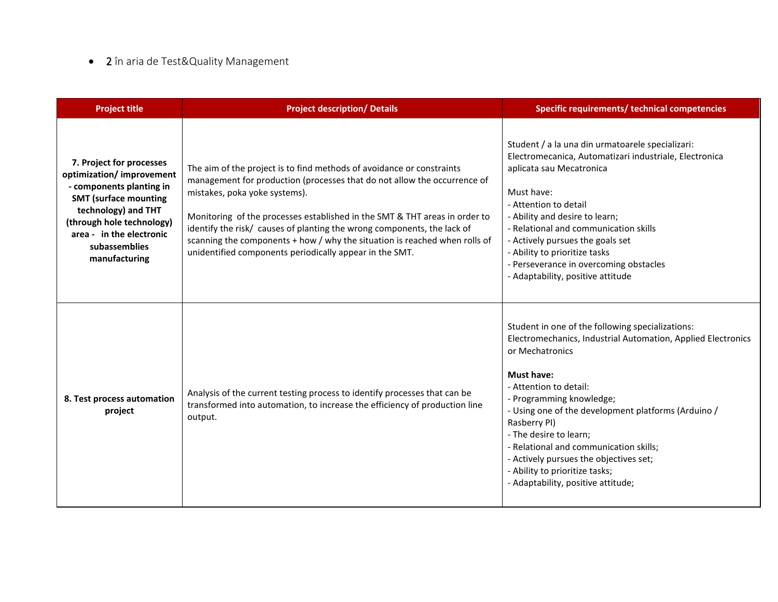# • 2 în aria de Test&Quality Management

| <b>Project title</b>                                                                                                                                                                                                                | <b>Project description/ Details</b>                                                                                                                                                                                                                                                                                                                                                                                                                                                  | Specific requirements/ technical competencies                                                                                                                                                                                                                                                                                                                                                                                                                               |
|-------------------------------------------------------------------------------------------------------------------------------------------------------------------------------------------------------------------------------------|--------------------------------------------------------------------------------------------------------------------------------------------------------------------------------------------------------------------------------------------------------------------------------------------------------------------------------------------------------------------------------------------------------------------------------------------------------------------------------------|-----------------------------------------------------------------------------------------------------------------------------------------------------------------------------------------------------------------------------------------------------------------------------------------------------------------------------------------------------------------------------------------------------------------------------------------------------------------------------|
| 7. Project for processes<br>optimization/ improvement<br>- components planting in<br><b>SMT (surface mounting</b><br>technology) and THT<br>(through hole technology)<br>area - in the electronic<br>subassemblies<br>manufacturing | The aim of the project is to find methods of avoidance or constraints<br>management for production (processes that do not allow the occurrence of<br>mistakes, poka yoke systems).<br>Monitoring of the processes established in the SMT & THT areas in order to<br>identify the risk/ causes of planting the wrong components, the lack of<br>scanning the components + how / why the situation is reached when rolls of<br>unidentified components periodically appear in the SMT. | Student / a la una din urmatoarele specializari:<br>Electromecanica, Automatizari industriale, Electronica<br>aplicata sau Mecatronica<br>Must have:<br>- Attention to detail<br>- Ability and desire to learn;<br>- Relational and communication skills<br>- Actively pursues the goals set<br>- Ability to prioritize tasks<br>- Perseverance in overcoming obstacles<br>- Adaptability, positive attitude                                                                |
| 8. Test process automation<br>project                                                                                                                                                                                               | Analysis of the current testing process to identify processes that can be<br>transformed into automation, to increase the efficiency of production line<br>output.                                                                                                                                                                                                                                                                                                                   | Student in one of the following specializations:<br>Electromechanics, Industrial Automation, Applied Electronics<br>or Mechatronics<br><b>Must have:</b><br>- Attention to detail:<br>- Programming knowledge;<br>- Using one of the development platforms (Arduino /<br>Rasberry PI)<br>- The desire to learn;<br>- Relational and communication skills;<br>- Actively pursues the objectives set;<br>- Ability to prioritize tasks;<br>- Adaptability, positive attitude; |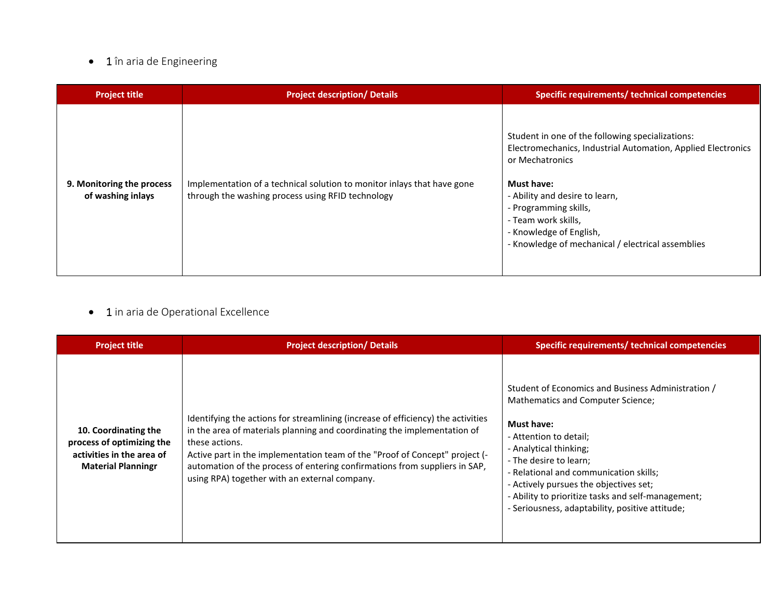## • 1 în aria de Engineering

| <b>Project title</b>                           | <b>Project description/ Details</b>                                                                                          | Specific requirements/ technical competencies                                                                                                                                                                                                                                                                              |
|------------------------------------------------|------------------------------------------------------------------------------------------------------------------------------|----------------------------------------------------------------------------------------------------------------------------------------------------------------------------------------------------------------------------------------------------------------------------------------------------------------------------|
| 9. Monitoring the process<br>of washing inlays | Implementation of a technical solution to monitor inlays that have gone<br>through the washing process using RFID technology | Student in one of the following specializations:<br>Electromechanics, Industrial Automation, Applied Electronics<br>or Mechatronics<br><b>Must have:</b><br>- Ability and desire to learn,<br>- Programming skills,<br>- Team work skills,<br>- Knowledge of English,<br>- Knowledge of mechanical / electrical assemblies |

## • 1 in aria de Operational Excellence

| <b>Project title</b>                                                                                        | <b>Project description/ Details</b>                                                                                                                                                                                                                                                                                                                                                          | Specific requirements/ technical competencies                                                                                                                                                                                                                                                                                                                                           |
|-------------------------------------------------------------------------------------------------------------|----------------------------------------------------------------------------------------------------------------------------------------------------------------------------------------------------------------------------------------------------------------------------------------------------------------------------------------------------------------------------------------------|-----------------------------------------------------------------------------------------------------------------------------------------------------------------------------------------------------------------------------------------------------------------------------------------------------------------------------------------------------------------------------------------|
| 10. Coordinating the<br>process of optimizing the<br>activities in the area of<br><b>Material Planningr</b> | Identifying the actions for streamlining (increase of efficiency) the activities<br>in the area of materials planning and coordinating the implementation of<br>these actions.<br>Active part in the implementation team of the "Proof of Concept" project (-<br>automation of the process of entering confirmations from suppliers in SAP,<br>using RPA) together with an external company. | Student of Economics and Business Administration /<br>Mathematics and Computer Science;<br><b>Must have:</b><br>- Attention to detail;<br>- Analytical thinking;<br>- The desire to learn;<br>- Relational and communication skills;<br>- Actively pursues the objectives set;<br>- Ability to prioritize tasks and self-management;<br>- Seriousness, adaptability, positive attitude; |